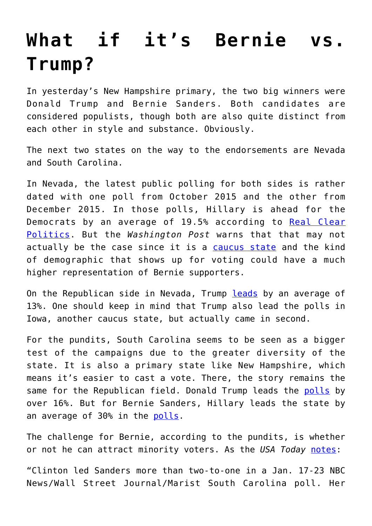## **[What if it's Bernie vs.](https://intellectualtakeout.org/2016/02/what-if-its-bernie-vs-trump/) [Trump?](https://intellectualtakeout.org/2016/02/what-if-its-bernie-vs-trump/)**

In yesterday's New Hampshire primary, the two big winners were Donald Trump and Bernie Sanders. Both candidates are considered populists, though both are also quite distinct from each other in style and substance. Obviously.

The next two states on the way to the endorsements are Nevada and South Carolina.

In Nevada, the latest public polling for both sides is rather dated with one poll from October 2015 and the other from December 2015. In those polls, Hillary is ahead for the Democrats by an average of 19.5% according to [Real Clear](http://www.realclearpolitics.com/epolls/2016/president/nv/nevada_democratic_presidential_caucus-5337.html) [Politics](http://www.realclearpolitics.com/epolls/2016/president/nv/nevada_democratic_presidential_caucus-5337.html). But the *Washington Post* warns that that may not actually be the case since it is a [caucus state](https://www.washingtonpost.com/news/the-fix/wp/2016/02/09/things-could-get-worse-before-they-get-better-for-clinton-post-new-hampshire/) and the kind of demographic that shows up for voting could have a much higher representation of Bernie supporters.

On the Republican side in Nevada, Trump [leads](http://www.realclearpolitics.com/epolls/2016/president/nv/nevada_republican_presidential_caucus-5336.html) by an average of 13%. One should keep in mind that Trump also lead the polls in Iowa, another caucus state, but actually came in second.

For the pundits, South Carolina seems to be seen as a bigger test of the campaigns due to the greater diversity of the state. It is also a primary state like New Hampshire, which means it's easier to cast a vote. There, the story remains the same for the Republican field. Donald Trump leads the [polls](http://www.realclearpolitics.com/epolls/2016/president/sc/south_carolina_republican_presidential_primary-4151.html) by over 16%. But for Bernie Sanders, Hillary leads the state by an average of 30% in the [polls](http://www.realclearpolitics.com/epolls/2016/president/sc/south_carolina_democratic_presidential_primary-4167.html).

The challenge for Bernie, according to the pundits, is whether or not he can attract minority voters. As the *USA Today* [notes](http://www.usatoday.com/story/news/politics/elections/2016/02/10/after-new-hampshire-bernie-sanders-faces-new-test-minority-voters/80102098/):

"Clinton led Sanders more than two-to-one in a Jan. 17-23 NBC News/Wall Street Journal/Marist South Carolina poll. Her